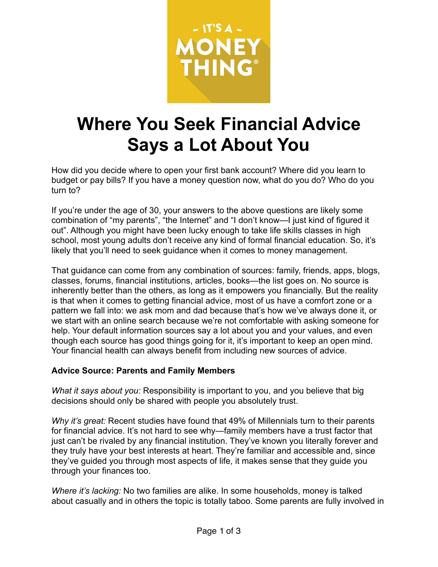

# **Where You Seek Financial Advice Says a Lot About You**

How did you decide where to open your first bank account? Where did you learn to budget or pay bills? If you have a money question now, what do you do? Who do you turn to?

If you're under the age of 30, your answers to the above questions are likely some combination of "my parents", "the Internet" and "I don't know—I just kind of figured it out". Although you might have been lucky enough to take life skills classes in high school, most young adults don't receive any kind of formal financial education. So, it's likely that you'll need to seek guidance when it comes to money management.

That guidance can come from any combination of sources: family, friends, apps, blogs, classes, forums, financial institutions, articles, books—the list goes on. No source is inherently better than the others, as long as it empowers you financially. But the reality is that when it comes to getting financial advice, most of us have a comfort zone or a pattern we fall into: we ask mom and dad because that's how we've always done it, or we start with an online search because we're not comfortable with asking someone for help. Your default information sources say a lot about you and your values, and even though each source has good things going for it, it's important to keep an open mind. Your financial health can always benefit from including new sources of advice.

#### **Advice Source: Parents and Family Members**

*What it says about you:* Responsibility is important to you, and you believe that big decisions should only be shared with people you absolutely trust.

*Why it's great:* Recent studies have found that 49% of Millennials turn to their parents for financial advice. It's not hard to see why—family members have a trust factor that just can't be rivaled by any financial institution. They've known you literally forever and they truly have your best interests at heart. They're familiar and accessible and, since they've guided you through most aspects of life, it makes sense that they guide you through your finances too.

*Where it's lacking:* No two families are alike. In some households, money is talked about casually and in others the topic is totally taboo. Some parents are fully involved in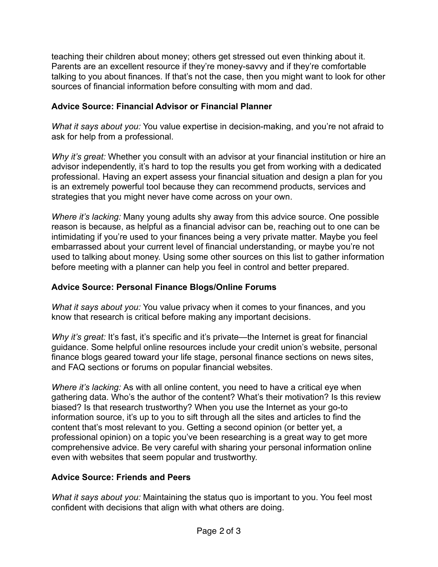teaching their children about money; others get stressed out even thinking about it. Parents are an excellent resource if they're money-savvy and if they're comfortable talking to you about finances. If that's not the case, then you might want to look for other sources of financial information before consulting with mom and dad.

### **Advice Source: Financial Advisor or Financial Planner**

*What it says about you:* You value expertise in decision-making, and you're not afraid to ask for help from a professional.

*Why it's great:* Whether you consult with an advisor at your financial institution or hire an advisor independently, it's hard to top the results you get from working with a dedicated professional. Having an expert assess your financial situation and design a plan for you is an extremely powerful tool because they can recommend products, services and strategies that you might never have come across on your own.

*Where it's lacking:* Many young adults shy away from this advice source. One possible reason is because, as helpful as a financial advisor can be, reaching out to one can be intimidating if you're used to your finances being a very private matter. Maybe you feel embarrassed about your current level of financial understanding, or maybe you're not used to talking about money. Using some other sources on this list to gather information before meeting with a planner can help you feel in control and better prepared.

### **Advice Source: Personal Finance Blogs/Online Forums**

*What it says about you:* You value privacy when it comes to your finances, and you know that research is critical before making any important decisions.

*Why it's great:* It's fast, it's specific and it's private—the Internet is great for financial guidance. Some helpful online resources include your credit union's website, personal finance blogs geared toward your life stage, personal finance sections on news sites, and FAQ sections or forums on popular financial websites.

*Where it's lacking:* As with all online content, you need to have a critical eye when gathering data. Who's the author of the content? What's their motivation? Is this review biased? Is that research trustworthy? When you use the Internet as your go-to information source, it's up to you to sift through all the sites and articles to find the content that's most relevant to you. Getting a second opinion (or better yet, a professional opinion) on a topic you've been researching is a great way to get more comprehensive advice. Be very careful with sharing your personal information online even with websites that seem popular and trustworthy.

## **Advice Source: Friends and Peers**

*What it says about you:* Maintaining the status quo is important to you. You feel most confident with decisions that align with what others are doing.